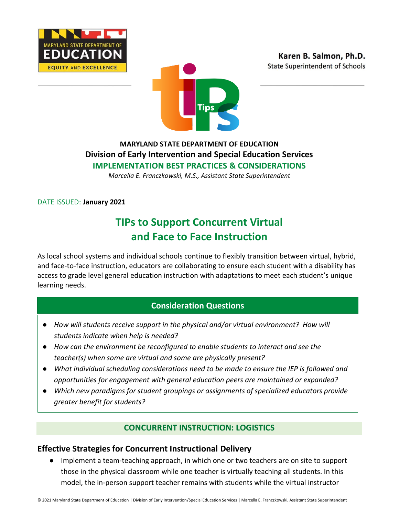





#### **MARYLAND STATE DEPARTMENT OF EDUCATION Division of Early Intervention and Special Education Services IMPLEMENTATION BEST PRACTICES & CONSIDERATIONS**

*Marcella E. Franczkowski, M.S., Assistant State Superintendent*

DATE ISSUED: **January 2021**

# **TIPs to Support Concurrent Virtual and Face to Face Instruction**

As local school systems and individual schools continue to flexibly transition between virtual, hybrid, and face-to-face instruction, educators are collaborating to ensure each student with a disability has access to grade level general education instruction with adaptations to meet each student's unique learning needs.

#### **Consideration Questions**

- *How will students receive support in the physical and/or virtual environment? How will students indicate when help is needed?*
- *How can the environment be reconfigured to enable students to interact and see the teacher(s) when some are virtual and some are physically present?*
- *What individual scheduling considerations need to be made to ensure the IEP is followed and opportunities for engagement with general education peers are maintained or expanded?*
- *Which new paradigms for student groupings or assignments of specialized educators provide greater benefit for students?*

#### **CONCURRENT INSTRUCTION: LOGISTICS**

#### **Effective Strategies for Concurrent Instructional Delivery**

● Implement a team-teaching approach, in which one or two teachers are on site to support those in the physical classroom while one teacher is virtually teaching all students. In this model, the in-person support teacher remains with students while the virtual instructor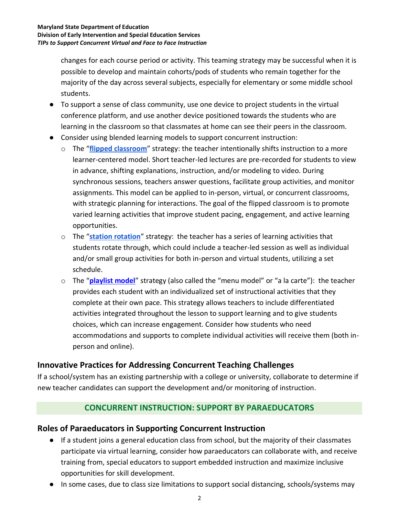changes for each course period or activity. This teaming strategy may be successful when it is possible to develop and maintain cohorts/pods of students who remain together for the majority of the day across several subjects, especially for elementary or some middle school students.

- To support a sense of class community, use one device to project students in the virtual conference platform, and use another device positioned towards the students who are learning in the classroom so that classmates at home can see their peers in the classroom.
- Consider using blended learning models to support concurrent instruction:
	- o The ["](https://www.edutopia.org/blog/flipped-classroom-pro-and-con-mary-beth-hertz)**[flipped classroom](https://www.edutopia.org/blog/flipped-classroom-pro-and-con-mary-beth-hertz)**["](https://www.edutopia.org/blog/flipped-classroom-pro-and-con-mary-beth-hertz) strategy: the teacher intentionally shifts instruction to a more learner-centered model. Short teacher-led lectures are pre-recorded for students to view in advance, shifting explanations, instruction, and/or modeling to video. During synchronous sessions, teachers answer questions, facilitate group activities, and monitor assignments. This model can be applied to in-person, virtual, or concurrent classrooms, with strategic planning for interactions. The goal of the flipped classroom is to promote varied learning activities that improve student pacing, engagement, and active learning opportunities.
	- o The "**[station rotation](https://www.edutopia.org/article/how-make-station-rotation-work-during-hybrid-learning)**" strategy: the teacher has a series of learning activities that students rotate through, which could include a teacher-led session as well as individual and/or small group activities for both in-person and virtual students, utilizing a set schedule.
	- o The "**[playlist model](https://catlintucker.com/2018/05/playlists/)**" strategy (also called the "menu model" or "a la carte"): the teacher provides each student with an individualized set of instructional activities that they complete at their own pace. This strategy allows teachers to include differentiated activities integrated throughout the lesson to support learning and to give students choices, which can increase engagement. Consider how students who need accommodations and supports to complete individual activities will receive them (both inperson and online).

#### **Innovative Practices for Addressing Concurrent Teaching Challenges**

If a school/system has an existing partnership with a college or university, collaborate to determine if new teacher candidates can support the development and/or monitoring of instruction.

#### **CONCURRENT INSTRUCTION: SUPPORT BY PARAEDUCATORS**

#### **Roles of Paraeducators in Supporting Concurrent Instruction**

- If a student joins a general education class from school, but the majority of their classmates participate via virtual learning, consider how paraeducators can collaborate with, and receive training from, special educators to support embedded instruction and maximize inclusive opportunities for skill development.
- In some cases, due to class size limitations to support social distancing, schools/systems may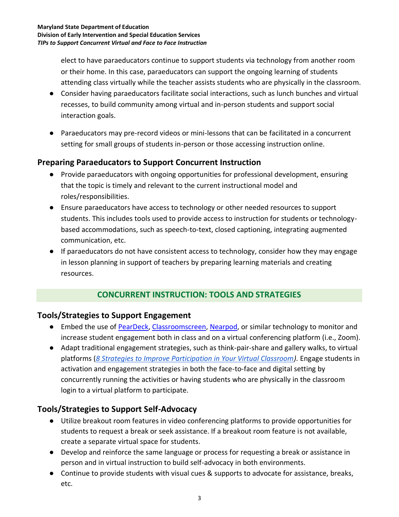elect to have paraeducators continue to support students via technology from another room or their home. In this case, paraeducators can support the ongoing learning of students attending class virtually while the teacher assists students who are physically in the classroom.

- Consider having paraeducators facilitate social interactions, such as lunch bunches and virtual recesses, to build community among virtual and in-person students and support social interaction goals.
- Paraeducators may pre-record videos or mini-lessons that can be facilitated in a concurrent setting for small groups of students in-person or those accessing instruction online.

#### **Preparing Paraeducators to Support Concurrent Instruction**

- Provide paraeducators with ongoing opportunities for professional development, ensuring that the topic is timely and relevant to the current instructional model and roles/responsibilities.
- Ensure paraeducators have access to technology or other needed resources to support students. This includes tools used to provide access to instruction for students or technologybased accommodations, such as speech-to-text, closed captioning, integrating augmented communication, etc.
- If paraeducators do not have consistent access to technology, consider how they may engage in lesson planning in support of teachers by preparing learning materials and creating resources.

### **CONCURRENT INSTRUCTION: TOOLS AND STRATEGIES**

#### **Tools/Strategies to Support Engagement**

- Embed the use of [PearDeck,](https://www.peardeck.com/googleslides) [Classroomscreen,](https://classroomscreen.com/) [Nearpod,](https://nearpod.com/) or similar technology to monitor and increase student engagement both in class and on a virtual conferencing platform (i.e., Zoom).
- Adapt traditional engagement strategies, such as think-pair-share and gallery walks, to virtual platforms (*[8 Strategies to Improve Participation in Your Virtual Classroom\)](https://www.edutopia.org/article/8-strategies-improve-participation-your-virtual-classroom).* Engage students in activation and engagement strategies in both the face-to-face and digital setting by concurrently running the activities or having students who are physically in the classroom login to a virtual platform to participate.

### **Tools/Strategies to Support Self-Advocacy**

- Utilize breakout room features in video conferencing platforms to provide opportunities for students to request a break or seek assistance. If a breakout room feature is not available, create a separate virtual space for students.
- Develop and reinforce the same language or process for requesting a break or assistance in person and in virtual instruction to build self-advocacy in both environments.
- Continue to provide students with visual cues & supports to advocate for assistance, breaks, etc.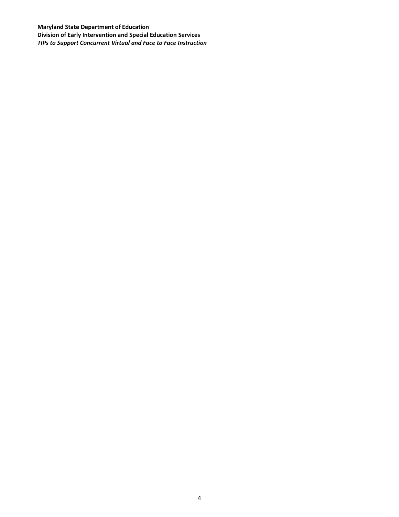**Maryland State Department of Education Division of Early Intervention and Special Education Services** *TIPs to Support Concurrent Virtual and Face to Face Instruction*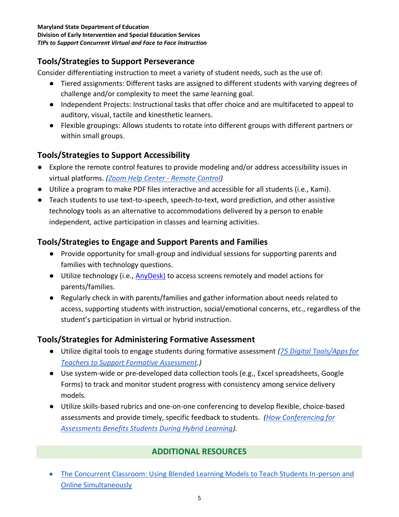### **Tools/Strategies to Support Perseverance**

Consider differentiating instruction to meet a variety of student needs, such as the use of:

- Tiered assignments: Different tasks are assigned to different students with varying degrees of challenge and/or complexity to meet the same learning goal.
- Independent Projects: Instructional tasks that offer choice and are multifaceted to appeal to auditory, visual, tactile and kinesthetic learners.
- Flexible groupings: Allows students to rotate into different groups with different partners or within small groups.

## **Tools/Strategies to Support Accessibility**

- Explore the remote control features to provide modeling and/or address accessibility issues in virtual platforms. *[\(Zoom Help Center -](https://support.zoom.us/hc/en-us/articles/201362673-Requesting-or-giving-remote-control#:~:text=You%20can%20request%20remote%20control,then%20click%20Request%20to%20confirm.) Remote Control)*
- Utilize a program to make PDF files interactive and accessible for all students (i.e., Kami).
- Teach students to use text-to-speech, speech-to-text, word prediction, and other assistive technology tools as an alternative to accommodations delivered by a person to enable independent, active participation in classes and learning activities.

## **Tools/Strategies to Engage and Support Parents and Families**

- Provide opportunity for small-group and individual sessions for supporting parents and families with technology questions.
- Utilize technology (i.e., [AnyDesk\)](https://anydesk.com/en) to access screens remotely and model actions for parents/families.
- Regularly check in with parents/families and gather information about needs related to access, supporting students with instruction, social/emotional concerns, etc., regardless of the student's participation in virtual or hybrid instruction.

### **Tools/Strategies for Administering Formative Assessment**

- Utilize digital tools to engage students during formative assessment *[\(75 Digital Tools/Apps for](https://www.nwea.org/blog/2019/75-digital-tools-apps-teachers-use-to-support-classroom-formative-assessment/)  [Teachers to Support Formative Assessment.](https://www.nwea.org/blog/2019/75-digital-tools-apps-teachers-use-to-support-classroom-formative-assessment/))*
- Use system-wide or pre-developed data collection tools (e.g., Excel spreadsheets, Google Forms) to track and monitor student progress with consistency among service delivery models.
- Utilize skills-based rubrics and one-on-one conferencing to develop flexible, choice-based assessments and provide timely, specific feedback to students. *[\(How Conferencing for](https://www.edutopia.org/article/how-conferencing-assessment-benefits-students-during-hybrid-learning)  [Assessments Benefits Students During Hybrid Learning\)](https://www.edutopia.org/article/how-conferencing-assessment-benefits-students-during-hybrid-learning).*

### **ADDITIONAL RESOURCES**

• [The Concurrent Classroom: Using Blended Learning Models to Teach Students In-person and](https://catlintucker.com/2020/09/concurrent-classroom-blended-learning-models/)  [Online Simultaneously](https://catlintucker.com/2020/09/concurrent-classroom-blended-learning-models/)